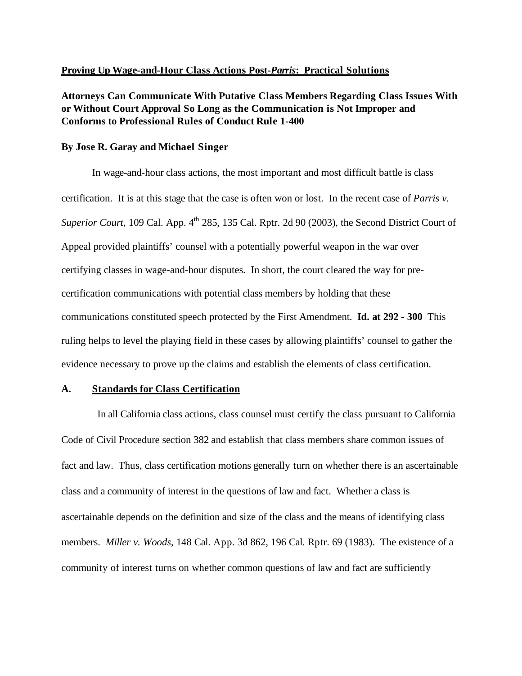## **Proving Up Wage-and-Hour Class Actions Post-***Parris***: Practical Solutions**

**Attorneys Can Communicate With Putative Class Members Regarding Class Issues With or Without Court Approval So Long as the Communication is Not Improper and Conforms to Professional Rules of Conduct Rule 1-400** 

### **By Jose R. Garay and Michael Singer**

In wage-and-hour class actions, the most important and most difficult battle is class certification. It is at this stage that the case is often won or lost. In the recent case of *Parris v. Superior Court*, 109 Cal. App. 4<sup>th</sup> 285, 135 Cal. Rptr. 2d 90 (2003), the Second District Court of Appeal provided plaintiffs' counsel with a potentially powerful weapon in the war over certifying classes in wage-and-hour disputes. In short, the court cleared the way for precertification communications with potential class members by holding that these communications constituted speech protected by the First Amendment. **Id. at 292 - 300** This ruling helps to level the playing field in these cases by allowing plaintiffs' counsel to gather the evidence necessary to prove up the claims and establish the elements of class certification.

## **A. Standards for Class Certification**

 In all California class actions, class counsel must certify the class pursuant to California Code of Civil Procedure section 382 and establish that class members share common issues of fact and law. Thus, class certification motions generally turn on whether there is an ascertainable class and a community of interest in the questions of law and fact. Whether a class is ascertainable depends on the definition and size of the class and the means of identifying class members. *Miller v. Woods*, 148 Cal. App. 3d 862, 196 Cal. Rptr. 69 (1983). The existence of a community of interest turns on whether common questions of law and fact are sufficiently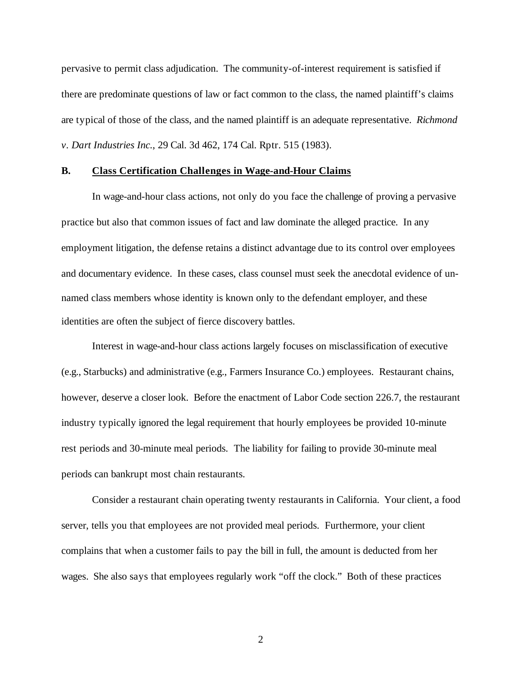pervasive to permit class adjudication. The community-of-interest requirement is satisfied if there are predominate questions of law or fact common to the class, the named plaintiff's claims are typical of those of the class, and the named plaintiff is an adequate representative. *Richmond v*. *Dart Industries Inc.*, 29 Cal. 3d 462, 174 Cal. Rptr. 515 (1983).

## **B. Class Certification Challenges in Wage-and-Hour Claims**

In wage-and-hour class actions, not only do you face the challenge of proving a pervasive practice but also that common issues of fact and law dominate the alleged practice. In any employment litigation, the defense retains a distinct advantage due to its control over employees and documentary evidence. In these cases, class counsel must seek the anecdotal evidence of unnamed class members whose identity is known only to the defendant employer, and these identities are often the subject of fierce discovery battles.

Interest in wage-and-hour class actions largely focuses on misclassification of executive (e.g., Starbucks) and administrative (e.g., Farmers Insurance Co.) employees. Restaurant chains, however, deserve a closer look. Before the enactment of Labor Code section 226.7, the restaurant industry typically ignored the legal requirement that hourly employees be provided 10-minute rest periods and 30-minute meal periods. The liability for failing to provide 30-minute meal periods can bankrupt most chain restaurants.

Consider a restaurant chain operating twenty restaurants in California. Your client, a food server, tells you that employees are not provided meal periods. Furthermore, your client complains that when a customer fails to pay the bill in full, the amount is deducted from her wages. She also says that employees regularly work "off the clock." Both of these practices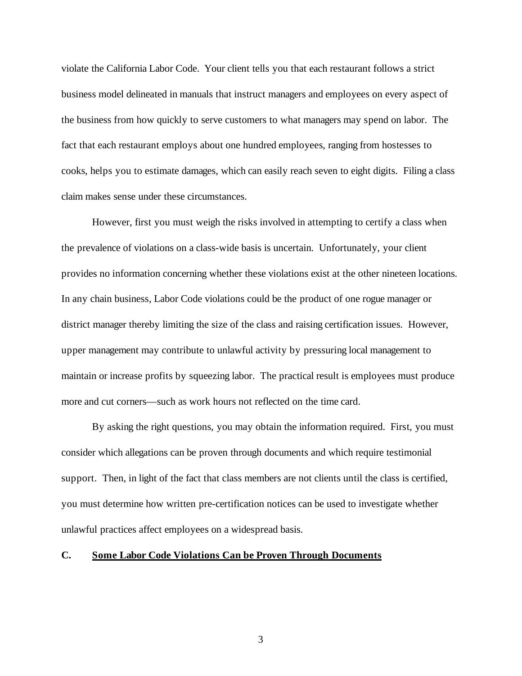violate the California Labor Code. Your client tells you that each restaurant follows a strict business model delineated in manuals that instruct managers and employees on every aspect of the business from how quickly to serve customers to what managers may spend on labor. The fact that each restaurant employs about one hundred employees, ranging from hostesses to cooks, helps you to estimate damages, which can easily reach seven to eight digits. Filing a class claim makes sense under these circumstances.

However, first you must weigh the risks involved in attempting to certify a class when the prevalence of violations on a class-wide basis is uncertain. Unfortunately, your client provides no information concerning whether these violations exist at the other nineteen locations. In any chain business, Labor Code violations could be the product of one rogue manager or district manager thereby limiting the size of the class and raising certification issues. However, upper management may contribute to unlawful activity by pressuring local management to maintain or increase profits by squeezing labor. The practical result is employees must produce more and cut corners—such as work hours not reflected on the time card.

By asking the right questions, you may obtain the information required. First, you must consider which allegations can be proven through documents and which require testimonial support. Then, in light of the fact that class members are not clients until the class is certified, you must determine how written pre-certification notices can be used to investigate whether unlawful practices affect employees on a widespread basis.

# **C. Some Labor Code Violations Can be Proven Through Documents**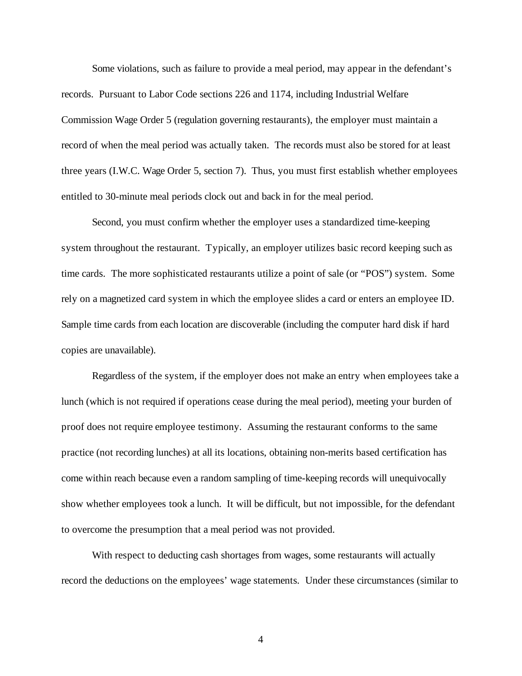Some violations, such as failure to provide a meal period, may appear in the defendant's records. Pursuant to Labor Code sections 226 and 1174, including Industrial Welfare Commission Wage Order 5 (regulation governing restaurants), the employer must maintain a record of when the meal period was actually taken. The records must also be stored for at least three years (I.W.C. Wage Order 5, section 7). Thus, you must first establish whether employees entitled to 30-minute meal periods clock out and back in for the meal period.

Second, you must confirm whether the employer uses a standardized time-keeping system throughout the restaurant. Typically, an employer utilizes basic record keeping such as time cards. The more sophisticated restaurants utilize a point of sale (or "POS") system. Some rely on a magnetized card system in which the employee slides a card or enters an employee ID. Sample time cards from each location are discoverable (including the computer hard disk if hard copies are unavailable).

Regardless of the system, if the employer does not make an entry when employees take a lunch (which is not required if operations cease during the meal period), meeting your burden of proof does not require employee testimony. Assuming the restaurant conforms to the same practice (not recording lunches) at all its locations, obtaining non-merits based certification has come within reach because even a random sampling of time-keeping records will unequivocally show whether employees took a lunch. It will be difficult, but not impossible, for the defendant to overcome the presumption that a meal period was not provided.

With respect to deducting cash shortages from wages, some restaurants will actually record the deductions on the employees' wage statements. Under these circumstances (similar to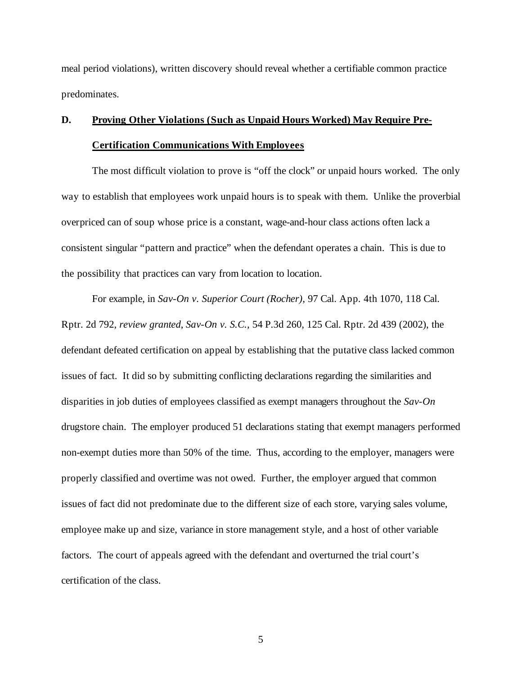meal period violations), written discovery should reveal whether a certifiable common practice predominates.

# **D. Proving Other Violations (Such as Unpaid Hours Worked) May Require Pre-Certification Communications With Employees**

The most difficult violation to prove is "off the clock" or unpaid hours worked. The only way to establish that employees work unpaid hours is to speak with them. Unlike the proverbial overpriced can of soup whose price is a constant, wage-and-hour class actions often lack a consistent singular "pattern and practice" when the defendant operates a chain. This is due to the possibility that practices can vary from location to location.

For example, in *Sav-On v. Superior Court (Rocher)*, 97 Cal. App. 4th 1070, 118 Cal. Rptr. 2d 792, *review granted*, *Sav-On v. S.C.*, 54 P.3d 260, 125 Cal. Rptr. 2d 439 (2002), the defendant defeated certification on appeal by establishing that the putative class lacked common issues of fact. It did so by submitting conflicting declarations regarding the similarities and disparities in job duties of employees classified as exempt managers throughout the *Sav-On* drugstore chain. The employer produced 51 declarations stating that exempt managers performed non-exempt duties more than 50% of the time. Thus, according to the employer, managers were properly classified and overtime was not owed. Further, the employer argued that common issues of fact did not predominate due to the different size of each store, varying sales volume, employee make up and size, variance in store management style, and a host of other variable factors. The court of appeals agreed with the defendant and overturned the trial court's certification of the class.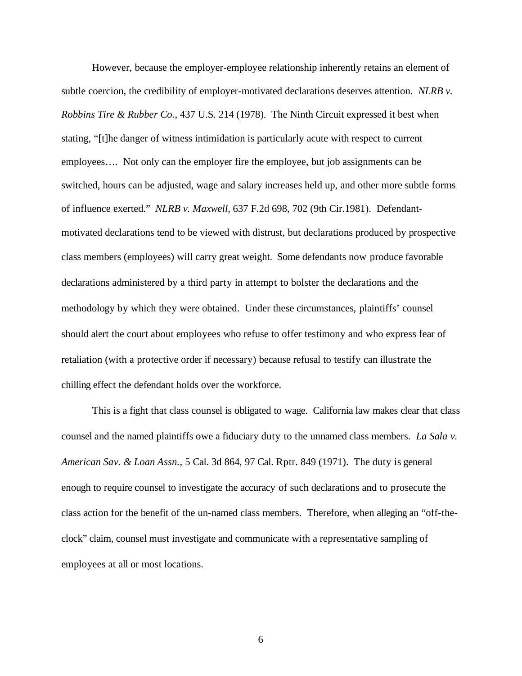However, because the employer-employee relationship inherently retains an element of subtle coercion, the credibility of employer-motivated declarations deserves attention. *NLRB v. Robbins Tire & Rubber Co.*, 437 U.S. 214 (1978). The Ninth Circuit expressed it best when stating, "[t]he danger of witness intimidation is particularly acute with respect to current employees…. Not only can the employer fire the employee, but job assignments can be switched, hours can be adjusted, wage and salary increases held up, and other more subtle forms of influence exerted." *NLRB v. Maxwell*, 637 F.2d 698, 702 (9th Cir.1981). Defendantmotivated declarations tend to be viewed with distrust, but declarations produced by prospective class members (employees) will carry great weight. Some defendants now produce favorable declarations administered by a third party in attempt to bolster the declarations and the methodology by which they were obtained. Under these circumstances, plaintiffs' counsel should alert the court about employees who refuse to offer testimony and who express fear of retaliation (with a protective order if necessary) because refusal to testify can illustrate the chilling effect the defendant holds over the workforce.

This is a fight that class counsel is obligated to wage. California law makes clear that class counsel and the named plaintiffs owe a fiduciary duty to the unnamed class members. *La Sala v. American Sav. & Loan Assn.*, 5 Cal. 3d 864, 97 Cal. Rptr. 849 (1971). The duty is general enough to require counsel to investigate the accuracy of such declarations and to prosecute the class action for the benefit of the un-named class members. Therefore, when alleging an "off-theclock" claim, counsel must investigate and communicate with a representative sampling of employees at all or most locations.

 $\sim$  6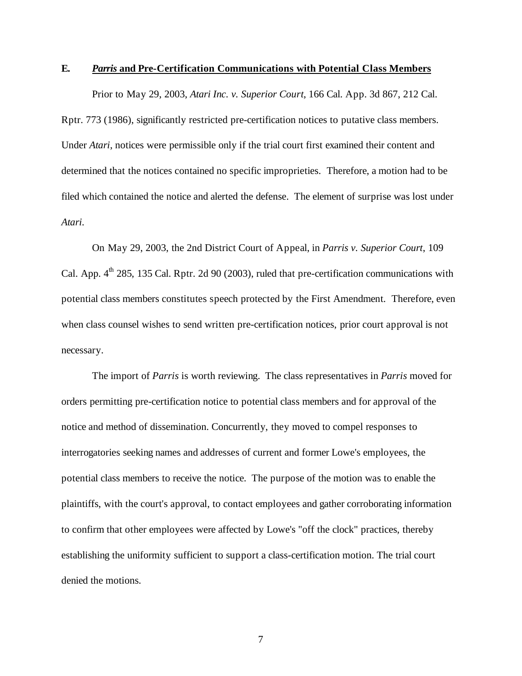## **E.** *Parris* **and Pre-Certification Communications with Potential Class Members**

Prior to May 29, 2003, *Atari Inc. v. Superior Court*, 166 Cal. App. 3d 867, 212 Cal. Rptr. 773 (1986), significantly restricted pre-certification notices to putative class members. Under *Atari*, notices were permissible only if the trial court first examined their content and determined that the notices contained no specific improprieties. Therefore, a motion had to be filed which contained the notice and alerted the defense. The element of surprise was lost under *Atari*.

On May 29, 2003, the 2nd District Court of Appeal, in *Parris v. Superior Court*, 109 Cal. App.  $4^{th}$  285, 135 Cal. Rptr. 2d 90 (2003), ruled that pre-certification communications with potential class members constitutes speech protected by the First Amendment. Therefore, even when class counsel wishes to send written pre-certification notices, prior court approval is not necessary.

The import of *Parris* is worth reviewing. The class representatives in *Parris* moved for orders permitting pre-certification notice to potential class members and for approval of the notice and method of dissemination. Concurrently, they moved to compel responses to interrogatories seeking names and addresses of current and former Lowe's employees, the potential class members to receive the notice. The purpose of the motion was to enable the plaintiffs, with the court's approval, to contact employees and gather corroborating information to confirm that other employees were affected by Lowe's "off the clock" practices, thereby establishing the uniformity sufficient to support a class-certification motion. The trial court denied the motions.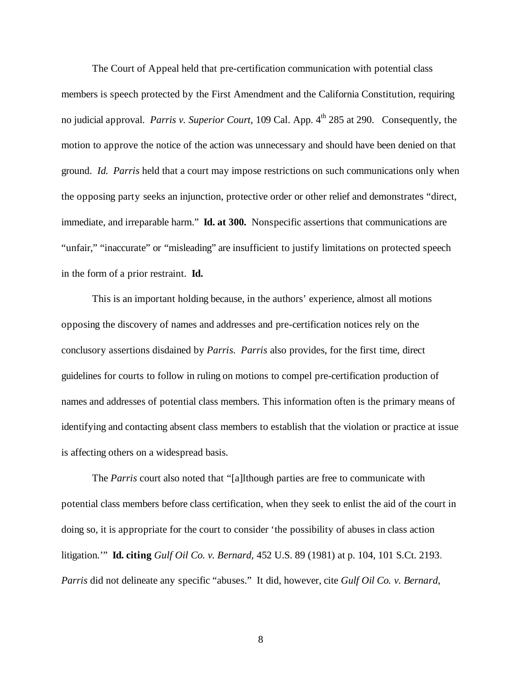The Court of Appeal held that pre-certification communication with potential class members is speech protected by the First Amendment and the California Constitution, requiring no judicial approval. *Parris v. Superior Court*, 109 Cal. App. 4<sup>th</sup> 285 at 290. Consequently, the motion to approve the notice of the action was unnecessary and should have been denied on that ground. *Id. Parris* held that a court may impose restrictions on such communications only when the opposing party seeks an injunction, protective order or other relief and demonstrates "direct, immediate, and irreparable harm." **Id. at 300.** Nonspecific assertions that communications are "unfair," "inaccurate" or "misleading" are insufficient to justify limitations on protected speech in the form of a prior restraint. **Id.**

This is an important holding because, in the authors' experience, almost all motions opposing the discovery of names and addresses and pre-certification notices rely on the conclusory assertions disdained by *Parris*. *Parris* also provides, for the first time, direct guidelines for courts to follow in ruling on motions to compel pre-certification production of names and addresses of potential class members. This information often is the primary means of identifying and contacting absent class members to establish that the violation or practice at issue is affecting others on a widespread basis.

The *Parris* court also noted that "[a]lthough parties are free to communicate with potential class members before class certification, when they seek to enlist the aid of the court in doing so, it is appropriate for the court to consider 'the possibility of abuses in class action litigation.'" **Id. citing** *Gulf Oil Co. v. Bernard,* 452 U.S. 89 (1981) at p. 104, 101 S.Ct. 2193. *Parris* did not delineate any specific "abuses." It did, however, cite *Gulf Oil Co. v. Bernard*,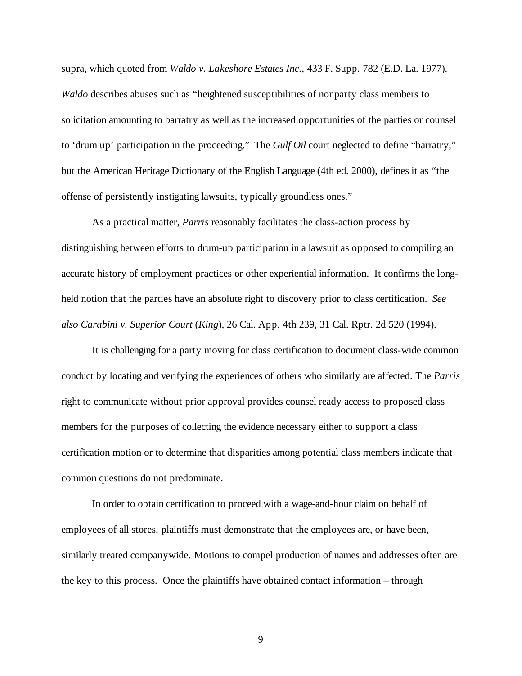supra, which quoted from *Waldo v. Lakeshore Estates Inc.*, 433 F. Supp. 782 (E.D. La. 1977). *Waldo* describes abuses such as "heightened susceptibilities of nonparty class members to solicitation amounting to barratry as well as the increased opportunities of the parties or counsel to 'drum up' participation in the proceeding." The *Gulf Oil* court neglected to define "barratry," but the American Heritage Dictionary of the English Language (4th ed. 2000), defines it as "the offense of persistently instigating lawsuits, typically groundless ones."

As a practical matter, *Parris* reasonably facilitates the class-action process by distinguishing between efforts to drum-up participation in a lawsuit as opposed to compiling an accurate history of employment practices or other experiential information. It confirms the longheld notion that the parties have an absolute right to discovery prior to class certification. *See also Carabini v. Superior Court* (*King*)*,* 26 Cal. App. 4th 239, 31 Cal. Rptr. 2d 520 (1994).

It is challenging for a party moving for class certification to document class-wide common conduct by locating and verifying the experiences of others who similarly are affected. The *Parris* right to communicate without prior approval provides counsel ready access to proposed class members for the purposes of collecting the evidence necessary either to support a class certification motion or to determine that disparities among potential class members indicate that common questions do not predominate.

In order to obtain certification to proceed with a wage-and-hour claim on behalf of employees of all stores, plaintiffs must demonstrate that the employees are, or have been, similarly treated companywide. Motions to compel production of names and addresses often are the key to this process. Once the plaintiffs have obtained contact information – through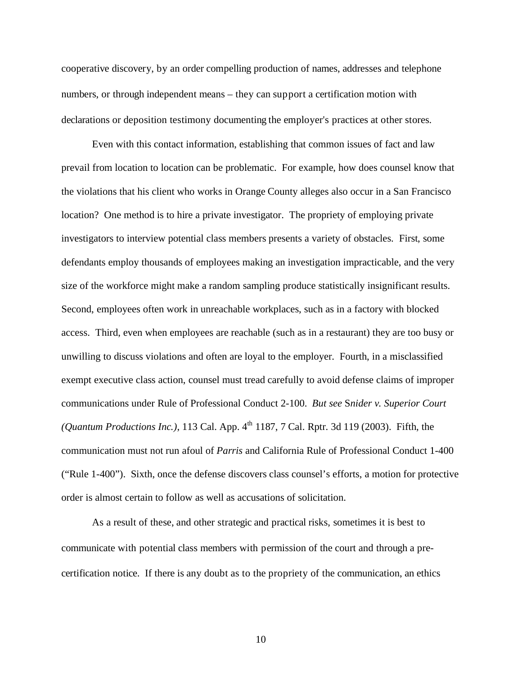cooperative discovery, by an order compelling production of names, addresses and telephone numbers, or through independent means – they can support a certification motion with declarations or deposition testimony documenting the employer's practices at other stores.

Even with this contact information, establishing that common issues of fact and law prevail from location to location can be problematic. For example, how does counsel know that the violations that his client who works in Orange County alleges also occur in a San Francisco location? One method is to hire a private investigator. The propriety of employing private investigators to interview potential class members presents a variety of obstacles. First, some defendants employ thousands of employees making an investigation impracticable, and the very size of the workforce might make a random sampling produce statistically insignificant results. Second, employees often work in unreachable workplaces, such as in a factory with blocked access. Third, even when employees are reachable (such as in a restaurant) they are too busy or unwilling to discuss violations and often are loyal to the employer. Fourth, in a misclassified exempt executive class action, counsel must tread carefully to avoid defense claims of improper communications under Rule of Professional Conduct 2-100. *But see* S*nider v. Superior Court* (*Quantum Productions Inc.*), 113 Cal. App.  $4<sup>th</sup>$  1187, 7 Cal. Rptr. 3d 119 (2003). Fifth, the communication must not run afoul of *Parris* and California Rule of Professional Conduct 1-400 ("Rule 1-400"). Sixth, once the defense discovers class counsel's efforts, a motion for protective order is almost certain to follow as well as accusations of solicitation.

As a result of these, and other strategic and practical risks, sometimes it is best to communicate with potential class members with permission of the court and through a precertification notice. If there is any doubt as to the propriety of the communication, an ethics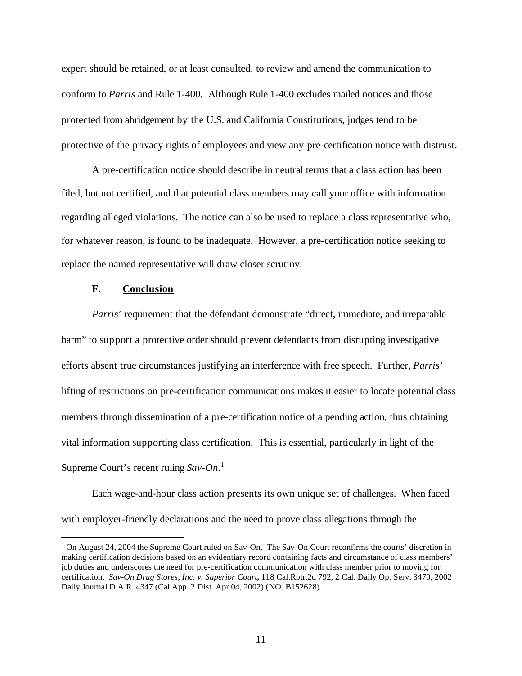expert should be retained, or at least consulted, to review and amend the communication to conform to *Parris* and Rule 1-400. Although Rule 1-400 excludes mailed notices and those protected from abridgement by the U.S. and California Constitutions, judges tend to be protective of the privacy rights of employees and view any pre-certification notice with distrust.

A pre-certification notice should describe in neutral terms that a class action has been filed, but not certified, and that potential class members may call your office with information regarding alleged violations. The notice can also be used to replace a class representative who, for whatever reason, is found to be inadequate. However, a pre-certification notice seeking to replace the named representative will draw closer scrutiny.

## **F. Conclusion**

 $\overline{a}$ 

*Parris*' requirement that the defendant demonstrate "direct, immediate, and irreparable harm" to support a protective order should prevent defendants from disrupting investigative efforts absent true circumstances justifying an interference with free speech.Further, *Parris*' lifting of restrictions on pre-certification communications makes it easier to locate potential class members through dissemination of a pre-certification notice of a pending action, thus obtaining vital information supporting class certification. This is essential, particularly in light of the Supreme Court's recent ruling *Sav-On*. 1

Each wage-and-hour class action presents its own unique set of challenges. When faced with employer-friendly declarations and the need to prove class allegations through the

<sup>&</sup>lt;sup>1</sup> On August 24, 2004 the Supreme Court ruled on Sav-On. The Sav-On Court reconfirms the courts' discretion in making certification decisions based on an evidentiary record containing facts and circumstance of class members' job duties and underscores the need for pre-certification communication with class member prior to moving for certification. *Sav-On Drug Stores, Inc. v. Superior Court***,** 118 Cal.Rptr.2d 792, 2 Cal. Daily Op. Serv. 3470, 2002 Daily Journal D.A.R. 4347 (Cal.App. 2 Dist. Apr 04, 2002) (NO. B152628)